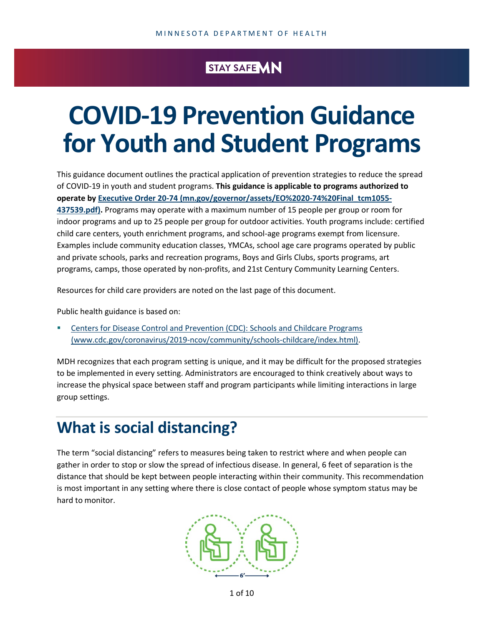#### STAY SAFE VIN

# **COVID-19 Prevention Guidance for Youth and Student Programs**

This guidance document outlines the practical application of prevention strategies to reduce the spread of COVID-19 in youth and student programs. **This guidance is applicable to programs authorized to operate by [Executive Order 20-74 \(mn.gov/governor/assets/EO%2020-74%20Final\\_tcm1055-](https://mn.gov/governor/assets/EO%2020-74%20Final_tcm1055-437539.pdf) [437539.pdf\).](https://mn.gov/governor/assets/EO%2020-74%20Final_tcm1055-437539.pdf)** Programs may operate with a maximum number of 15 people per group or room for indoor programs and up to 25 people per group for outdoor activities. Youth programs include: certified child care centers, youth enrichment programs, and school-age programs exempt from licensure. Examples include community education classes, YMCAs, school age care programs operated by public and private schools, parks and recreation programs, Boys and Girls Clubs, sports programs, art programs, camps, those operated by non-profits, and 21st Century Community Learning Centers.

Resources for child care providers are noted on the last page of this document.

Public health guidance is based on:

 [Centers for Disease Control and Prevention \(CDC\): Schools and Childcare Programs](https://www.cdc.gov/coronavirus/2019-ncov/community/schools-childcare/index.html) [\(www.cdc.gov/coronavirus/2019-ncov/community/schools-childcare/index.html\).](https://www.cdc.gov/coronavirus/2019-ncov/community/schools-childcare/index.html)

MDH recognizes that each program setting is unique, and it may be difficult for the proposed strategies to be implemented in every setting. Administrators are encouraged to think creatively about ways to increase the physical space between staff and program participants while limiting interactions in large group settings.

#### **What is social distancing?**

The term "social distancing" refers to measures being taken to restrict where and when people can gather in order to stop or slow the spread of infectious disease. In general, 6 feet of separation is the distance that should be kept between people interacting within their community. This recommendation is most important in any setting where there is close contact of people whose symptom status may be hard to monitor.

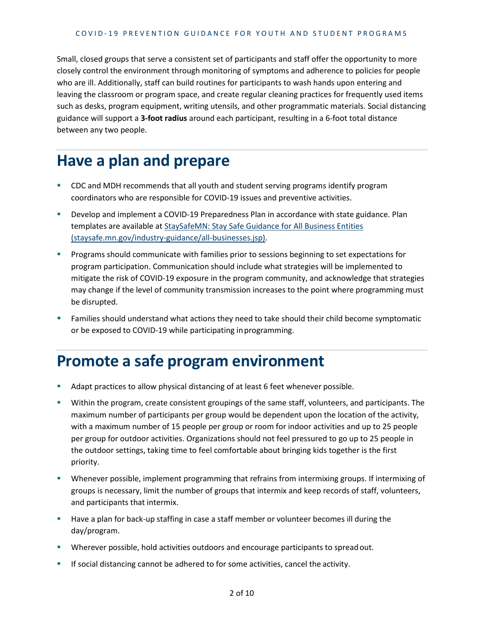Small, closed groups that serve a consistent set of participants and staff offer the opportunity to more closely control the environment through monitoring of symptoms and adherence to policies for people who are ill. Additionally, staff can build routines for participants to wash hands upon entering and leaving the classroom or program space, and create regular cleaning practices for frequently used items such as desks, program equipment, writing utensils, and other programmatic materials. Social distancing guidance will support a **3-foot radius** around each participant, resulting in a 6-foot total distance between any two people.

#### **Have a plan and prepare**

- CDC and MDH recommends that all youth and student serving programs identify program coordinators who are responsible for COVID-19 issues and preventive activities.
- Develop and implement a COVID-19 Preparedness Plan in accordance with state guidance. Plan templates are available at [StaySafeMN: Stay Safe Guidance for All Business Entities](https://staysafe.mn.gov/industry-guidance/all-businesses.jsp)  [\(staysafe.mn.gov/industry-guidance/all-businesses.jsp\).](https://staysafe.mn.gov/industry-guidance/all-businesses.jsp)
- **Programs should communicate with families prior to sessions beginning to set expectations for** program participation. Communication should include what strategies will be implemented to mitigate the risk of COVID-19 exposure in the program community, and acknowledge that strategies may change if the level of community transmission increases to the point where programming must be disrupted.
- Families should understand what actions they need to take should their child become symptomatic or be exposed to COVID-19 while participating inprogramming.

#### **Promote a safe program environment**

- Adapt practices to allow physical distancing of at least 6 feet whenever possible.
- Within the program, create consistent groupings of the same staff, volunteers, and participants. The maximum number of participants per group would be dependent upon the location of the activity, with a maximum number of 15 people per group or room for indoor activities and up to 25 people per group for outdoor activities. Organizations should not feel pressured to go up to 25 people in the outdoor settings, taking time to feel comfortable about bringing kids together is the first priority.
- Whenever possible, implement programming that refrains from intermixing groups. If intermixing of groups is necessary, limit the number of groups that intermix and keep records of staff, volunteers, and participants that intermix.
- Have a plan for back-up staffing in case a staff member or volunteer becomes ill during the day/program.
- Wherever possible, hold activities outdoors and encourage participants to spreadout.
- If social distancing cannot be adhered to for some activities, cancel the activity.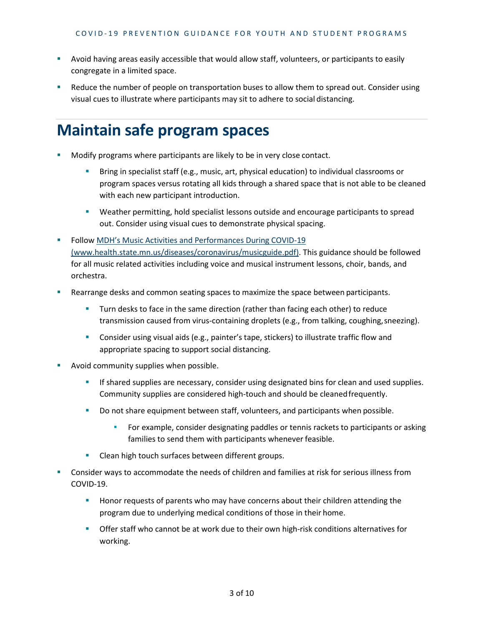- Avoid having areas easily accessible that would allow staff, volunteers, or participants to easily congregate in a limited space.
- **Reduce the number of people on transportation buses to allow them to spread out. Consider using** visual cues to illustrate where participants may sit to adhere to social distancing.

#### **Maintain safe program spaces**

- Modify programs where participants are likely to be in very close contact.
	- **Bring in specialist staff (e.g., music, art, physical education) to individual classrooms or** program spaces versus rotating all kids through a shared space that is not able to be cleaned with each new participant introduction.
	- **•** Weather permitting, hold specialist lessons outside and encourage participants to spread out. Consider using visual cues to demonstrate physical spacing.
- **Follow MDH's Music Activities and Performances During COVID-19** (www.health.state.mn.us/diseases/coronavirus/musicguide.pdf). This guidance should be followed for all music related activities including voice and musical instrument lessons, choir, bands, and orchestra.
- **Rearrange desks and common seating spaces to maximize the space between participants.** 
	- Turn desks to face in the same direction (rather than facing each other) to reduce transmission caused from virus-containing droplets (e.g., from talking, coughing, sneezing).
	- **Consider using visual aids (e.g., painter's tape, stickers) to illustrate traffic flow and** appropriate spacing to support social distancing.
- Avoid community supplies when possible.
	- **If shared supplies are necessary, consider using designated bins for clean and used supplies.** Community supplies are considered high-touch and should be cleanedfrequently.
	- Do not share equipment between staff, volunteers, and participants when possible.
		- For example, consider designating paddles or tennis rackets to participants or asking families to send them with participants whenever feasible.
	- **Clean high touch surfaces between different groups.**
- Consider ways to accommodate the needs of children and families at risk for serious illness from COVID-19.
	- **Honor requests of parents who may have concerns about their children attending the** program due to underlying medical conditions of those in their home.
	- **•** Offer staff who cannot be at work due to their own high-risk conditions alternatives for working.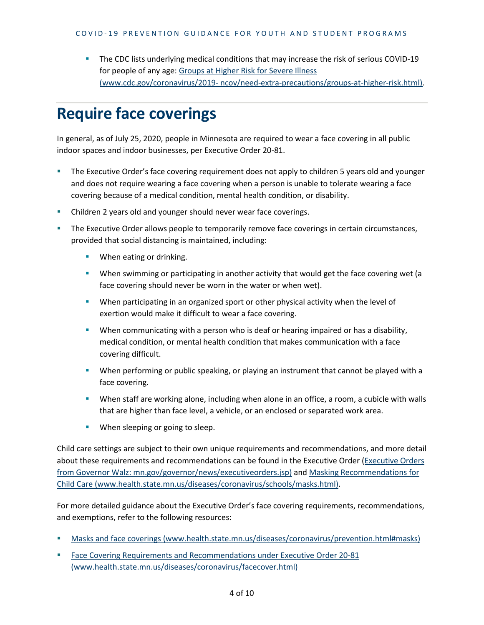The CDC lists underlying medical conditions that may increase the risk of serious COVID-19 for people of any age: [Groups at Higher Risk for Severe Illness](https://www.cdc.gov/coronavirus/2019-ncov/need-extra-precautions/groups-at-higher-risk.html)  [\(www.cdc.gov/coronavirus/2019-](https://www.cdc.gov/coronavirus/2019-ncov/need-extra-precautions/groups-at-higher-risk.html) [ncov/need-extra-precautions/groups-at-higher-risk.html\).](https://www.cdc.gov/coronavirus/2019-ncov/need-extra-precautions/groups-at-higher-risk.html)

## **Require face coverings**

In general, as of July 25, 2020, people in Minnesota are required to wear a face covering in all public indoor spaces and indoor businesses, per Executive Order 20-81.

- **The Executive Order's face covering requirement does not apply to children 5 years old and younger** and does not require wearing a face covering when a person is unable to tolerate wearing a face covering because of a medical condition, mental health condition, or disability.
- Children 2 years old and younger should never wear face coverings.
- The Executive Order allows people to temporarily remove face coverings in certain circumstances, provided that social distancing is maintained, including:
	- **When eating or drinking.**
	- When swimming or participating in another activity that would get the face covering wet (a face covering should never be worn in the water or when wet).
	- When participating in an organized sport or other physical activity when the level of exertion would make it difficult to wear a face covering.
	- When communicating with a person who is deaf or hearing impaired or has a disability, medical condition, or mental health condition that makes communication with a face covering difficult.
	- When performing or public speaking, or playing an instrument that cannot be played with a face covering.
	- When staff are working alone, including when alone in an office, a room, a cubicle with walls that are higher than face level, a vehicle, or an enclosed or separated work area.
	- **When sleeping or going to sleep.**

Child care settings are subject to their own unique requirements and recommendations, and more detail about these requirements and recommendations can be found in the Executive Order [\(Executive Orders](https://mn.gov/governor/news/executiveorders.jsp)  [from Governor Walz: mn.gov/governor/news/executiveorders.jsp\)](https://mn.gov/governor/news/executiveorders.jsp) and [Masking Recommendations for](https://www.health.state.mn.us/diseases/coronavirus/schools/masks.html)  [Child Care \(www.health.state.mn.us/diseases/coronavirus/schools/masks.html\).](https://www.health.state.mn.us/diseases/coronavirus/schools/masks.html)

For more detailed guidance about the Executive Order's face covering requirements, recommendations, and exemptions, refer to the following resources:

- [Masks and face coverings \(www.health.state.mn.us/diseases/coronavirus/prevention.html#masks\)](https://www.health.state.mn.us/diseases/coronavirus/prevention.html#masks)
- [Face Covering Requirements and Recommendations under Executive Order 20-81](https://www.health.state.mn.us/diseases/coronavirus/facecover.html)  [\(www.health.state.mn.us/diseases/coronavirus/facecover.html\)](https://www.health.state.mn.us/diseases/coronavirus/facecover.html)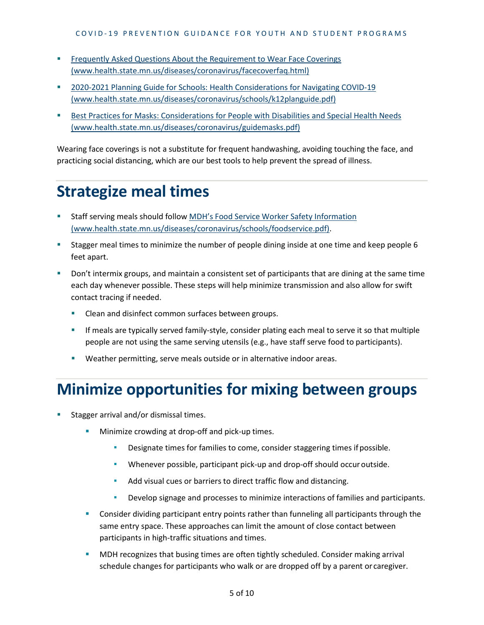- Frequently Asked [Questions About the Requirement to Wear Face Coverings](https://www.health.state.mn.us/diseases/coronavirus/facecoverfaq.html)  [\(www.health.state.mn.us/diseases/coronavirus/facecoverfaq.html\)](https://www.health.state.mn.us/diseases/coronavirus/facecoverfaq.html)
- [2020-2021 Planning Guide for Schools: Health Considerations for Navigating COVID-19](https://www.health.state.mn.us/diseases/coronavirus/schools/k12planguide.pdf)  [\(www.health.state.mn.us/diseases/coronavirus/schools/k12planguide.pdf\)](https://www.health.state.mn.us/diseases/coronavirus/schools/k12planguide.pdf)
- [Best Practices for Masks: Considerations for People with Disabilities and Special Health Needs](https://www.health.state.mn.us/diseases/coronavirus/guidemasks.pdf)  [\(www.health.state.mn.us/diseases/coronavirus/guidemasks.pdf\)](https://www.health.state.mn.us/diseases/coronavirus/guidemasks.pdf)

Wearing face coverings is not a substitute for frequent handwashing, avoiding touching the face, and practicing social distancing, which are our best tools to help prevent the spread of illness.

#### **Strategize meal times**

- Staff serving meals should follow [MDH's Food Service Worker Safety Information](https://www.health.state.mn.us/diseases/coronavirus/schools/foodservice.pdf)  [\(www.health.state.mn.us/diseases/coronavirus/schools/foodservice.pdf\).](https://www.health.state.mn.us/diseases/coronavirus/schools/foodservice.pdf)
- Stagger meal times to minimize the number of people dining inside at one time and keep people 6 feet apart.
- Don't intermix groups, and maintain a consistent set of participants that are dining at the same time each day whenever possible. These steps will help minimize transmission and also allow for swift contact tracing if needed.
	- **EXECLE** Clean and disinfect common surfaces between groups.
	- If meals are typically served family-style, consider plating each meal to serve it so that multiple people are not using the same serving utensils (e.g., have staff serve food to participants).
	- Weather permitting, serve meals outside or in alternative indoor areas.

#### **Minimize opportunities for mixing between groups**

- Stagger arrival and/or dismissal times.
	- Minimize crowding at drop-off and pick-up times.
		- Designate times for families to come, consider staggering times if possible.
		- Whenever possible, participant pick-up and drop-off should occuroutside.
		- Add visual cues or barriers to direct traffic flow and distancing.
		- Develop signage and processes to minimize interactions of families and participants.
	- **Consider dividing participant entry points rather than funneling all participants through the** same entry space. These approaches can limit the amount of close contact between participants in high-traffic situations and times.
	- **MDH recognizes that busing times are often tightly scheduled. Consider making arrival** schedule changes for participants who walk or are dropped off by a parent or caregiver.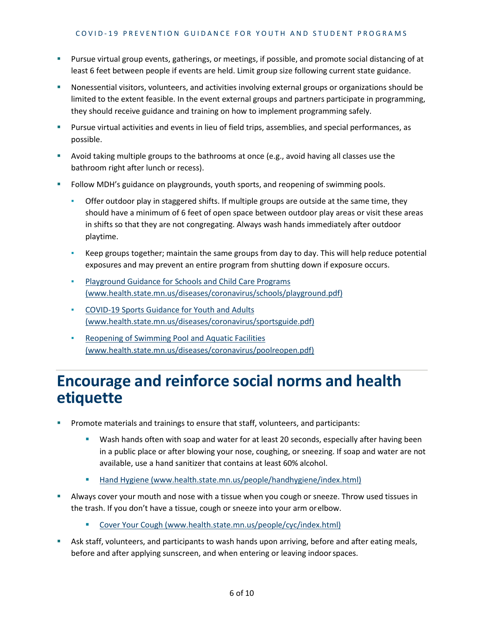- Pursue virtual group events, gatherings, or meetings, if possible, and promote social distancing of at least 6 feet between people if events are held. Limit group size following current state guidance.
- Nonessential visitors, volunteers, and activities involving external groups or organizations should be limited to the extent feasible. In the event external groups and partners participate in programming, they should receive guidance and training on how to implement programming safely.
- Pursue virtual activities and events in lieu of field trips, assemblies, and special performances, as possible.
- Avoid taking multiple groups to the bathrooms at once (e.g., avoid having all classes use the bathroom right after lunch or recess).
- Follow MDH's guidance on playgrounds, youth sports, and reopening of swimming pools.
	- **•** Offer outdoor play in staggered shifts. If multiple groups are outside at the same time, they should have a minimum of 6 feet of open space between outdoor play areas or visit these areas in shifts so that they are not congregating. Always wash hands immediately after outdoor playtime.
	- Keep groups together; maintain the same groups from day to day. This will help reduce potential exposures and may prevent an entire program from shutting down if exposure occurs.
	- [Playground Guidance for Schools and Child Care Programs](https://www.health.state.mn.us/diseases/coronavirus/schools/playground.pdf)  [\(www.health.state.mn.us/diseases/coronavirus/schools/playground.pdf\)](https://www.health.state.mn.us/diseases/coronavirus/schools/playground.pdf)
	- [COVID-19 Sports Guidance for Youth and Adults](https://www.health.state.mn.us/diseases/coronavirus/sportsguide.pdf)  [\(www.health.state.mn.us/diseases/coronavirus/sportsguide.pdf\)](https://www.health.state.mn.us/diseases/coronavirus/sportsguide.pdf)
	- [Reopening of Swimming Pool and Aquatic Facilities](https://www.health.state.mn.us/diseases/coronavirus/poolreopen.pdf)  [\(www.health.state.mn.us/diseases/coronavirus/poolreopen.pdf\)](https://www.health.state.mn.us/diseases/coronavirus/poolreopen.pdf)

#### **Encourage and reinforce social norms and health etiquette**

- Promote materials and trainings to ensure that staff, volunteers, and participants:
	- **Wash hands often with soap and water for at least 20 seconds, especially after having been** in a public place or after blowing your nose, coughing, or sneezing. If soap and water are not available, use a hand sanitizer that contains at least 60% alcohol.
	- Hand Hygiene [\(www.health.state.mn.us/people/handhygiene/index.html\)](https://www.health.state.mn.us/people/handhygiene/index.html)
- Always cover your mouth and nose with a tissue when you cough or sneeze. Throw used tissues in the trash. If you don't have a tissue, cough or sneeze into your arm orelbow.
	- Cover Your Cough [\(www.health.state.mn.us/people/cyc/index.html\)](https://www.health.state.mn.us/people/cyc/index.html)
- Ask staff, volunteers, and participants to wash hands upon arriving, before and after eating meals, before and after applying sunscreen, and when entering or leaving indoorspaces.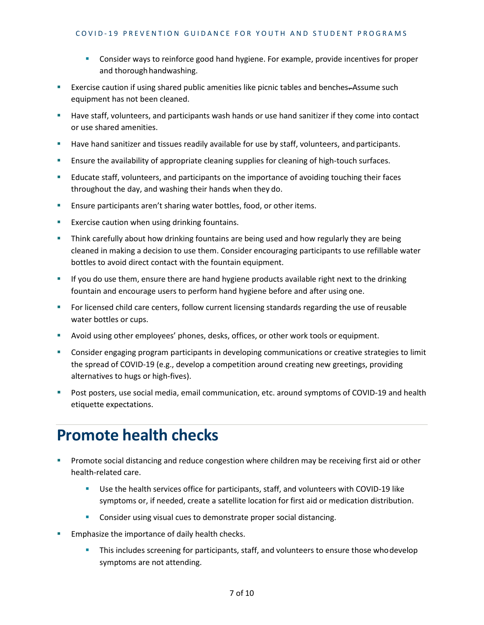- **Consider ways to reinforce good hand hygiene. For example, provide incentives for proper** and thorough handwashing.
- **Exercise caution if using shared public amenities like picnic tables and benches. Assume such** equipment has not been cleaned.
- **Have staff, volunteers, and participants wash hands or use hand sanitizer if they come into contact** or use shared amenities.
- Have hand sanitizer and tissues readily available for use by staff, volunteers, and participants.
- Ensure the availability of appropriate cleaning supplies for cleaning of high-touch surfaces.
- Educate staff, volunteers, and participants on the importance of avoiding touching their faces throughout the day, and washing their hands when they do.
- **Ensure participants aren't sharing water bottles, food, or other items.**
- **Exercise caution when using drinking fountains.**
- Think carefully about how drinking fountains are being used and how regularly they are being cleaned in making a decision to use them. Consider encouraging participants to use refillable water bottles to avoid direct contact with the fountain equipment.
- If you do use them, ensure there are hand hygiene products available right next to the drinking fountain and encourage users to perform hand hygiene before and after using one.
- **For licensed child care centers, follow current licensing standards regarding the use of reusable** water bottles or cups.
- Avoid using other employees' phones, desks, offices, or other work tools or equipment.
- Consider engaging program participants in developing communications or creative strategies to limit the spread of COVID-19 (e.g., develop a competition around creating new greetings, providing alternatives to hugs or high-fives).
- Post posters, use social media, email communication, etc. around symptoms of COVID-19 and health etiquette expectations.

#### **Promote health checks**

- Promote social distancing and reduce congestion where children may be receiving first aid or other health-related care.
	- Use the health services office for participants, staff, and volunteers with COVID-19 like symptoms or, if needed, create a satellite location for first aid or medication distribution.
	- **Consider using visual cues to demonstrate proper social distancing.**
- Emphasize the importance of daily health checks.
	- **This includes screening for participants, staff, and volunteers to ensure those who develop** symptoms are not attending.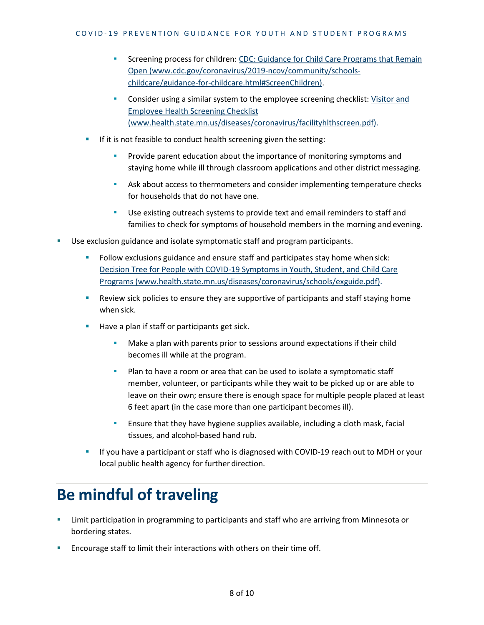- **EXECTED:** Screening process for children: CDC: Guidance for Child Care Programs that Remain [Open \(www.cdc.gov/coronavirus/2019-ncov/community/schools](https://www.cdc.gov/coronavirus/2019-ncov/community/schools-childcare/guidance-for-childcare.html#ScreenChildren)[childcare/guidance-for-childcare.html#ScreenChildren\).](https://www.cdc.gov/coronavirus/2019-ncov/community/schools-childcare/guidance-for-childcare.html#ScreenChildren)
- Consider using a similar system to the employee screening checklist: [Visitor and](https://www.health.state.mn.us/diseases/coronavirus/facilityhlthscreen.pdf) [Employee Health Screening Checklist](https://www.health.state.mn.us/diseases/coronavirus/facilityhlthscreen.pdf)  [\(www.health.state.mn.us/diseases/coronavirus/facilityhlthscreen.pdf\).](https://www.health.state.mn.us/diseases/coronavirus/facilityhlthscreen.pdf)
- If it is not feasible to conduct health screening given the setting:
	- **Provide parent education about the importance of monitoring symptoms and** staying home while ill through classroom applications and other district messaging.
	- Ask about access to thermometers and consider implementing temperature checks for households that do not have one.
	- Use existing outreach systems to provide text and email reminders to staff and families to check for symptoms of household members in the morning and evening.
- Use exclusion guidance and isolate symptomatic staff and program participants.
	- Follow exclusions guidance and ensure staff and participates stay home whensick: [Decision Tree for People with COVID-19 Symptoms in Youth, Student, and Child](https://www.health.state.mn.us/diseases/coronavirus/schools/exguide.pdf) Care [Programs \(www.health.state.mn.us/diseases/coronavirus/schools/exguide.pdf\).](https://www.health.state.mn.us/diseases/coronavirus/schools/exguide.pdf)
	- **Review sick policies to ensure they are supportive of participants and staff staying home** when sick.
	- Have a plan if staff or participants get sick.
		- Make a plan with parents prior to sessions around expectations if their child becomes ill while at the program.
		- Plan to have a room or area that can be used to isolate a symptomatic staff member, volunteer, or participants while they wait to be picked up or are able to leave on their own; ensure there is enough space for multiple people placed at least 6 feet apart (in the case more than one participant becomes ill).
		- **Ensure that they have hygiene supplies available, including a cloth mask, facial** tissues, and alcohol-based hand rub.
	- **If you have a participant or staff who is diagnosed with COVID-19 reach out to MDH or your** local public health agency for further direction.

## **Be mindful of traveling**

- **EXECT 1** Limit participation in programming to participants and staff who are arriving from Minnesota or bordering states.
- Encourage staff to limit their interactions with others on their time off.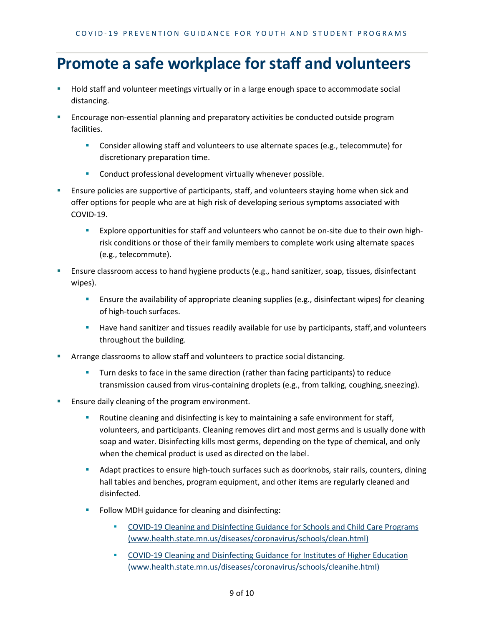#### **Promote a safe workplace for staff and volunteers**

- Hold staff and volunteer meetings virtually or in a large enough space to accommodate social distancing.
- Encourage non-essential planning and preparatory activities be conducted outside program facilities.
	- **Consider allowing staff and volunteers to use alternate spaces (e.g., telecommute) for** discretionary preparation time.
	- **Conduct professional development virtually whenever possible.**
- Ensure policies are supportive of participants, staff, and volunteers staying home when sick and offer options for people who are at high risk of developing serious symptoms associated with COVID-19.
	- Explore opportunities for staff and volunteers who cannot be on-site due to their own highrisk conditions or those of their family members to complete work using alternate spaces (e.g., telecommute).
- Ensure classroom access to hand hygiene products (e.g., hand sanitizer, soap, tissues, disinfectant wipes).
	- **E** Ensure the availability of appropriate cleaning supplies (e.g., disinfectant wipes) for cleaning of high-touch surfaces.
	- **Have hand sanitizer and tissues readily available for use by participants, staff, and volunteers** throughout the building.
- Arrange classrooms to allow staff and volunteers to practice social distancing.
	- **Turn desks to face in the same direction (rather than facing participants) to reduce** transmission caused from virus-containing droplets (e.g., from talking, coughing, sneezing).
- Ensure daily cleaning of the program environment.
	- **BED 2018 Routine cleaning and disinfecting is key to maintaining a safe environment for staff,** volunteers, and participants. Cleaning removes dirt and most germs and is usually done with soap and water. Disinfecting kills most germs, depending on the type of chemical, and only when the chemical product is used as directed on the label.
	- **Adapt practices to ensure high-touch surfaces such as doorknobs, stair rails, counters, dining** hall tables and benches, program equipment, and other items are regularly cleaned and disinfected.
	- **Follow MDH guidance for cleaning and disinfecting:** 
		- [COVID-19 Cleaning and Disinfecting Guidance for Schools and Child Care Programs](https://www.health.state.mn.us/diseases/coronavirus/schools/clean.html) [\(www.health.state.mn.us/diseases/coronavirus/schools/clean.html\)](https://www.health.state.mn.us/diseases/coronavirus/schools/clean.html)
		- **[COVID-19 Cleaning and Disinfecting Guidance for Institutes of Higher Education](https://www.health.state.mn.us/diseases/coronavirus/schools/cleanihe.html)** [\(www.health.state.mn.us/diseases/coronavirus/schools/cleanihe.html\)](https://www.health.state.mn.us/diseases/coronavirus/schools/cleanihe.html)